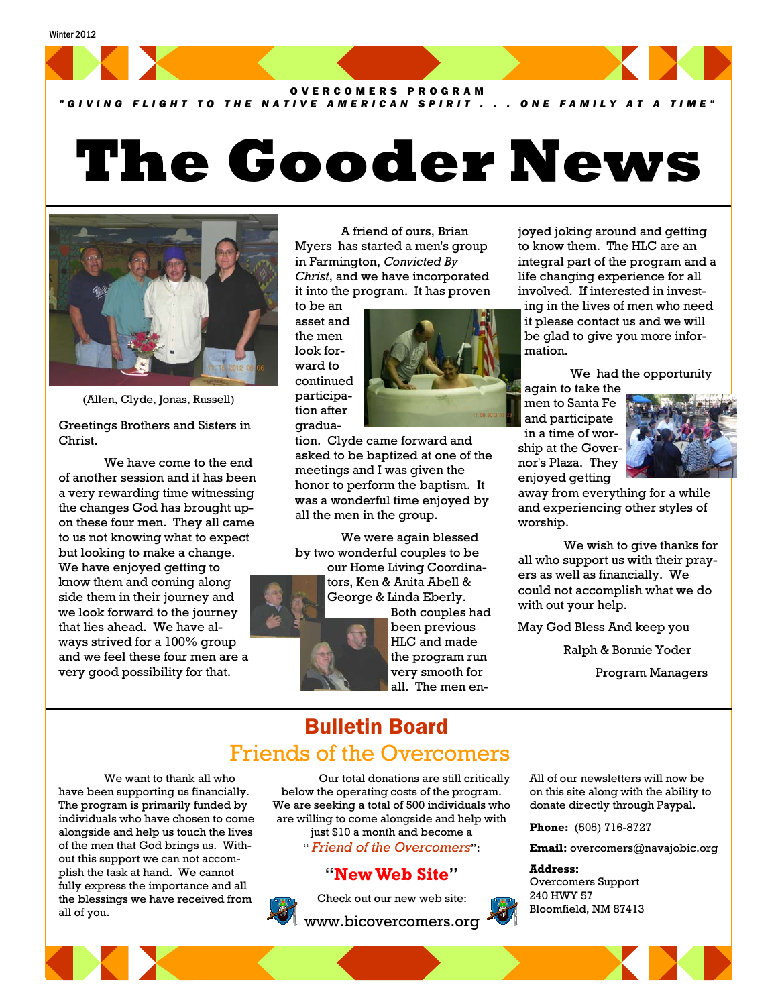#### Winter 2012



#### *"GIVING FLIGHT TO THE NATIVE AMERICAN SPIRIT . . . ONE FAMILY AT A TIME"*

# **The Gooder News**



(Allen, Clyde, Jonas, Russell)

Greetings Brothers and Sisters in Christ.

 We have come to the end of another session and it has been a very rewarding time witnessing the changes God has brought upon these four men. They all came to us not knowing what to expect but looking to make a change. We have enjoyed getting to know them and coming along side them in their journey and we look forward to the journey that lies ahead. We have always strived for a 100% group and we feel these four men are a very good possibility for that.

 A friend of ours, Brian Myers has started a men's group in Farmington, *Convicted By Christ*, and we have incorporated it into the program. It has proven

to be an asset and the men look forward to continued participation after gradua-



tion. Clyde came forward and asked to be baptized at one of the meetings and I was given the honor to perform the baptism. It was a wonderful time enjoyed by all the men in the group.

 We were again blessed by two wonderful couples to be

our Home Living Coordinators, Ken & Anita Abell & George & Linda Eberly.



Both couples had been previous HLC and made the program run very smooth for all. The men enjoyed joking around and getting to know them. The HLC are an integral part of the program and a life changing experience for all involved. If interested in investing in the lives of men who need it please contact us and we will be glad to give you more information.

We had the opportunity

again to take the men to Santa Fe and participate in a time of worship at the Governor's Plaza. They enjoyed getting



away from everything for a while and experiencing other styles of worship.

 We wish to give thanks for all who support us with their prayers as well as financially. We could not accomplish what we do with out your help.

May God Bless And keep you

Ralph & Bonnie Yoder

Program Managers

### Bulletin Board Friends of the Overcomers

 We want to thank all who have been supporting us financially. The program is primarily funded by individuals who have chosen to come alongside and help us touch the lives of the men that God brings us. Without this support we can not accomplish the task at hand. We cannot fully express the importance and all the blessings we have received from all of you.

 Our total donations are still critically below the operating costs of the program. We are seeking a total of 500 individuals who are willing to come alongside and help with just \$10 a month and become a " *Friend of the Overcomers*":

#### "**New Web Site**"



Check out our new web site:

www.bicovercomers.org



All of our newsletters will now be on this site along with the ability to donate directly through Paypal.

**Phone:** (505) 716-8727

**Email:** overcomers@navajobic.org

#### **Address:**  Overcomers Support 240 HWY 57

Bloomfield, NM 87413